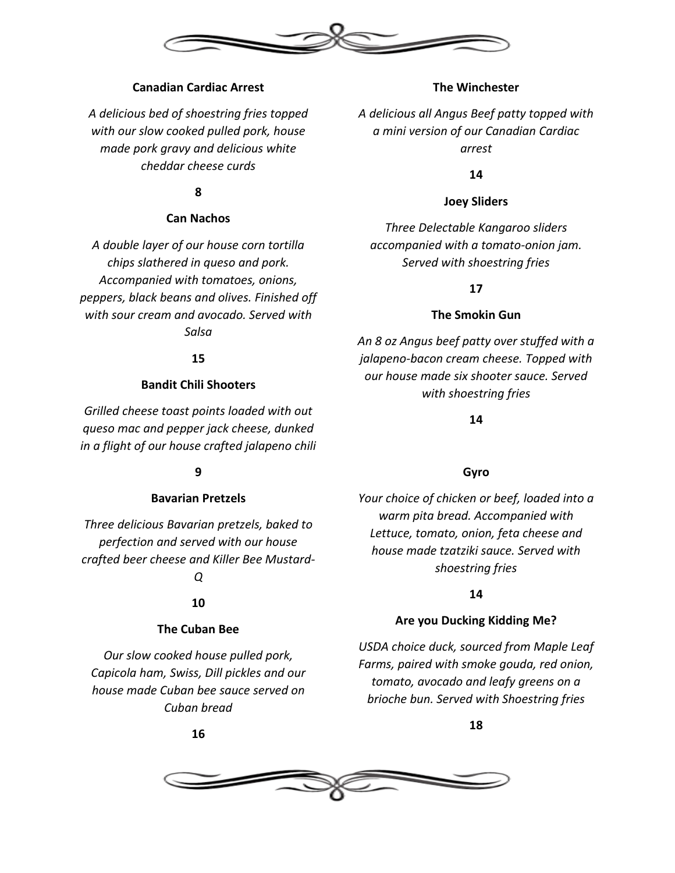

# **Canadian Cardiac Arrest**

*A delicious bed of shoestring fries topped with our slow cooked pulled pork, house made pork gravy and delicious white cheddar cheese curds*

# **8**

# **Can Nachos**

*A double layer of our house corn tortilla chips slathered in queso and pork. Accompanied with tomatoes, onions, peppers, black beans and olives. Finished off with sour cream and avocado. Served with Salsa*

#### **15**

# **Bandit Chili Shooters**

*Grilled cheese toast points loaded with out queso mac and pepper jack cheese, dunked in a flight of our house crafted jalapeno chili*

# **9**

## **Bavarian Pretzels**

*Three delicious Bavarian pretzels, baked to perfection and served with our house crafted beer cheese and Killer Bee Mustard-*

# *Q*

# **10**

#### **The Cuban Bee**

*Our slow cooked house pulled pork, Capicola ham, Swiss, Dill pickles and our house made Cuban bee sauce served on Cuban bread*

**16**

## **The Winchester**

*A delicious all Angus Beef patty topped with a mini version of our Canadian Cardiac arrest*

**14**

## **Joey Sliders**

*Three Delectable Kangaroo sliders accompanied with a tomato-onion jam. Served with shoestring fries*

# **17**

## **The Smokin Gun**

*An 8 oz Angus beef patty over stuffed with a jalapeno-bacon cream cheese. Topped with our house made six shooter sauce. Served with shoestring fries*

## **14**

# **Gyro**

*Your choice of chicken or beef, loaded into a warm pita bread. Accompanied with Lettuce, tomato, onion, feta cheese and house made tzatziki sauce. Served with shoestring fries*

# **14**

# **Are you Ducking Kidding Me?**

*USDA choice duck, sourced from Maple Leaf Farms, paired with smoke gouda, red onion, tomato, avocado and leafy greens on a brioche bun. Served with Shoestring fries*